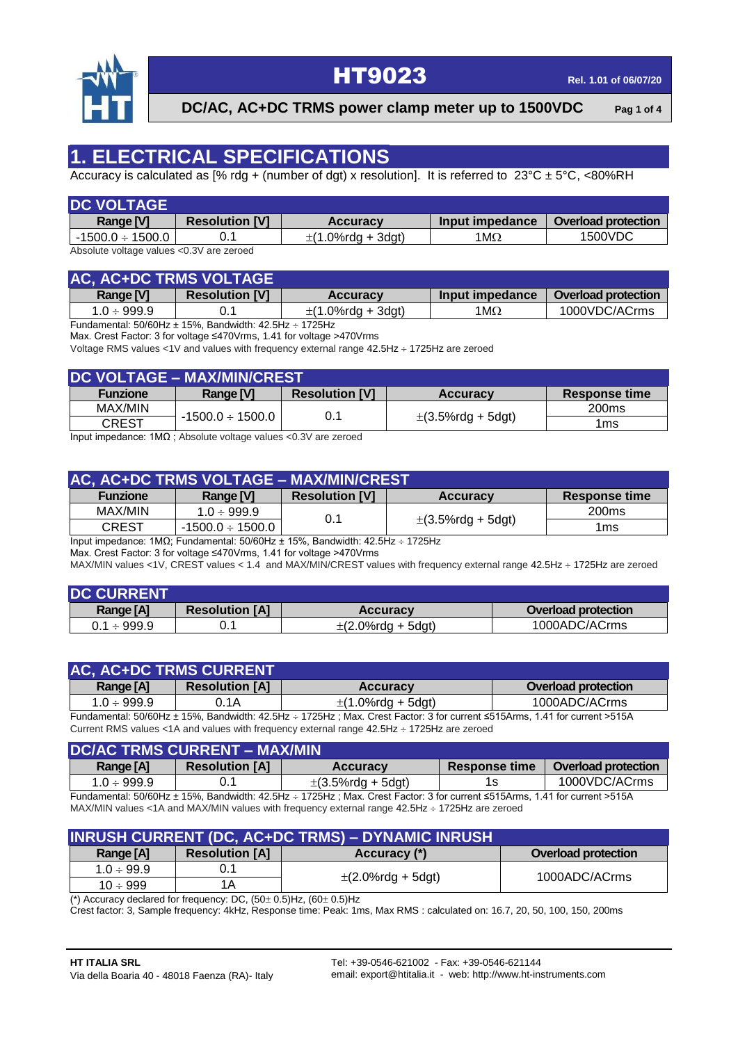

**DC/AC, AC+DC TRMS power clamp meter up to 1500VDC Pag 1 of 4**

#### **1. ELECTRICAL SPECIFICATIONS**

Accuracy is calculated as [% rdg + (number of dgt) x resolution]. It is referred to  $23^{\circ}C \pm 5^{\circ}C$ , <80%RH

| <b>DC VOLTAGE</b>                        |                       |                        |                 |                            |
|------------------------------------------|-----------------------|------------------------|-----------------|----------------------------|
| Range [V]                                | <b>Resolution [V]</b> | <b>Accuracy</b>        | Input impedance | <b>Overload protection</b> |
| $-1500.0 \div 1500.0$                    |                       | $\pm$ (1.0%rdg + 3dgt) | 1M $\Omega$     | 1500VDC                    |
| Absolute voltage values <0.3V are zeroed |                       |                        |                 |                            |

**AC, AC+DC TRMS VOLTAGE Range [V] Resolution [V] Accuracy Input impedance Overload protection**  $1.0 \div 999.9$  0.1  $\pm (1.0\% \text{rdg} + 3 \text{dgt})$  1M $\Omega$  1000VDC/ACrms

Fundamental:  $50/60$ Hz  $\pm$  15%, Bandwidth: 42.5Hz  $\div$  1725Hz

Max. Crest Factor: 3 for voltage ≤470Vrms, 1.41 for voltage >470Vrms

Voltage RMS values <1V and values with frequency external range  $42.5Hz \div 1725Hz$  are zeroed

| <b>DC VOLTAGE - MAX/MIN/CREST</b> |                       |                       |                        |                      |  |
|-----------------------------------|-----------------------|-----------------------|------------------------|----------------------|--|
| <b>Funzione</b>                   | Range [V]             | <b>Resolution [V]</b> | <b>Accuracy</b>        | <b>Response time</b> |  |
| MAX/MIN                           |                       |                       |                        | 200 <sub>ms</sub>    |  |
| <b>CREST</b>                      | $-1500.0 \div 1500.0$ |                       | $\pm$ (3.5%rdg + 5dgt) | 1ms                  |  |

Input impedance: 1MΩ ; Absolute voltage values <0.3V are zeroed

| AC, AC+DC TRMS VOLTAGE - MAX/MIN/CREST |                       |                       |                        |                   |  |
|----------------------------------------|-----------------------|-----------------------|------------------------|-------------------|--|
| <b>Funzione</b>                        | Range [V]             | <b>Resolution [V]</b> | <b>Accuracy</b>        | Response time     |  |
| MAX/MIN                                | $1.0 \div 999.9$      | 0.1                   |                        | 200 <sub>ms</sub> |  |
| <b>CREST</b>                           | $-1500.0 \div 1500.0$ |                       | $\pm$ (3.5%rdg + 5dgt) | 1ms               |  |

Input impedance: 1MΩ; Fundamental: 50/60Hz ± 15%, Bandwidth: 42.5Hz 1725Hz

Max. Crest Factor: 3 for voltage ≤470Vrms, 1.41 for voltage >470Vrms

MAX/MIN values <1V, CREST values < 1.4 and MAX/MIN/CREST values with frequency external range 42.5Hz ÷ 1725Hz are zeroed

| <b>DC CURRENT</b> |                       |                        |                            |
|-------------------|-----------------------|------------------------|----------------------------|
| Range [A]         | <b>Resolution [A]</b> | <b>Accuracy</b>        | <b>Overload protection</b> |
| $0.1 \div 999.9$  |                       | $\pm$ (2.0%rdg + 5dgt) | 1000ADC/ACrms              |

| <b>AC, AC+DC TRMS CURRENT</b> |                       |                        |                            |
|-------------------------------|-----------------------|------------------------|----------------------------|
| Range [A]                     | <b>Resolution [A]</b> | <b>Accuracy</b>        | <b>Overload protection</b> |
| $1.0 \div 999.9$              | ).1A                  | $\pm$ (1.0%rdg + 5dgt) | 1000ADC/ACrms              |
|                               |                       |                        |                            |

Fundamental: 50/60Hz ± 15%, Bandwidth: 42.5Hz 1725Hz ; Max. Crest Factor: 3 for current ≤515Arms, 1.41 for current >515A Current RMS values <1A and values with frequency external range 42.5Hz + 1725Hz are zeroed

| <b>DC/AC TRMS CURRENT - MAX/MIN</b> |                       |                        |                      |                            |  |
|-------------------------------------|-----------------------|------------------------|----------------------|----------------------------|--|
| Range [A]                           | <b>Resolution [A]</b> | <b>Accuracy</b>        | <b>Response time</b> | <b>Overload protection</b> |  |
| $1.0 \div 999.9$                    |                       | $\pm$ (3.5%rdg + 5dgt) |                      | 1000VDC/ACrms              |  |

Fundamental: 50/60Hz ± 15%, Bandwidth: 42.5Hz 1725Hz ; Max. Crest Factor: 3 for current ≤515Arms, 1.41 for current >515A MAX/MIN values <1A and MAX/MIN values with frequency external range 42.5Hz ÷ 1725Hz are zeroed

| <b>INRUSH CURRENT (DC, AC+DC TRMS) - DYNAMIC INRUSH</b> |                       |                        |                            |  |
|---------------------------------------------------------|-----------------------|------------------------|----------------------------|--|
| Range [A]                                               | <b>Resolution [A]</b> | Accuracy (*)           | <b>Overload protection</b> |  |
| $1.0 \div 99.9$                                         |                       |                        | 1000ADC/ACrms              |  |
| $10 \div 999$                                           | 1Α                    | $\pm$ (2.0%rdg + 5dgt) |                            |  |

(\*) Accuracy declared for frequency: DC,  $\overline{(50\pm 0.5)}$ Hz,  $\overline{(60\pm 0.5)}$ Hz

Crest factor: 3, Sample frequency: 4kHz, Response time: Peak: 1ms, Max RMS : calculated on: 16.7, 20, 50, 100, 150, 200ms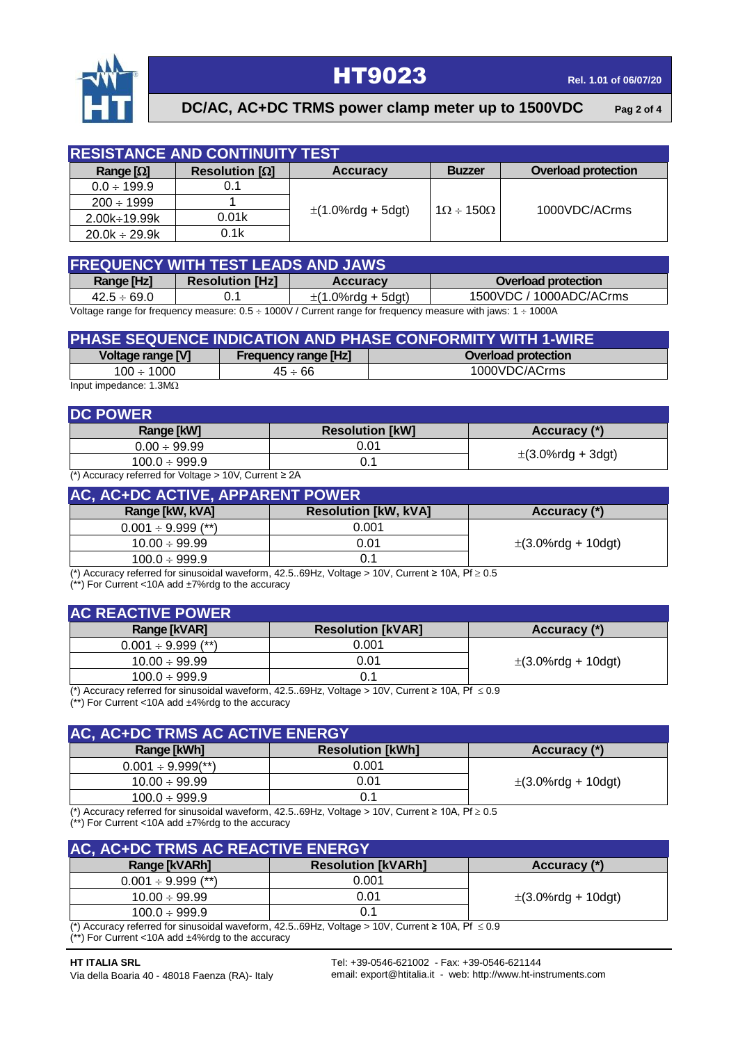

| <b>RESISTANCE AND CONTINUITY TEST.</b> |                       |                        |                          |                            |  |
|----------------------------------------|-----------------------|------------------------|--------------------------|----------------------------|--|
| Range $[\Omega]$                       | Resolution $[\Omega]$ | <b>Accuracy</b>        | <b>Buzzer</b>            | <b>Overload protection</b> |  |
| $0.0 \div 199.9$                       | 0.1                   |                        |                          |                            |  |
| $200 \div 1999$                        |                       | $\pm$ (1.0%rdg + 5dgt) | $1\Omega \div 150\Omega$ | 1000VDC/ACrms              |  |
| $2.00k + 19.99k$                       | 0.01k                 |                        |                          |                            |  |
| $20.0k \div 29.9k$                     | 0.1k                  |                        |                          |                            |  |

| <b>FREQUENCY WITH TEST LEADS AND JAWS</b> |                        |                        |                            |  |  |
|-------------------------------------------|------------------------|------------------------|----------------------------|--|--|
| Range [Hz]                                | <b>Resolution [Hz]</b> | <b>Accuracy</b>        | <b>Overload protection</b> |  |  |
| $42.5 \div 69.0$                          |                        | $\pm$ (1.0%rdg + 5dgt) | 1500VDC / 1000ADC/ACrms    |  |  |
| .                                         | .                      |                        |                            |  |  |

Voltage range for frequency measure:  $0.5 \div 1000V$  / Current range for frequency measure with jaws: 1  $\div 1000A$ 

| PHASE SEQUENCE INDICATION AND PHASE CONFORMITY WITH 1-WIRE |                             |                            |  |  |  |
|------------------------------------------------------------|-----------------------------|----------------------------|--|--|--|
| Voltage range [V]                                          | <b>Frequency range [Hz]</b> | <b>Overload protection</b> |  |  |  |
| $100 \div 1000$                                            | $45 \div 66$                | 1000VDC/ACrms              |  |  |  |
| Input impedance: $1.3M\Omega$                              |                             |                            |  |  |  |

| <b>DC POWER</b>                                               |                        |              |  |  |  |
|---------------------------------------------------------------|------------------------|--------------|--|--|--|
| Range [kW]                                                    | <b>Resolution [kW]</b> | Accuracy (*) |  |  |  |
| $0.00 \div 99.99$                                             | 0.01                   |              |  |  |  |
| $100.0 \div 999.9$                                            | $\pm$ (3.0%rdg + 3dgt) |              |  |  |  |
| (*) Accuracy referred for Voltage $> 10V$ , Current $\geq 2A$ |                        |              |  |  |  |

| AC, AC+DC ACTIVE, APPARENT POWER |                             |                         |  |  |
|----------------------------------|-----------------------------|-------------------------|--|--|
| Range [kW, kVA]                  | <b>Resolution [kW, kVA]</b> | Accuracy (*)            |  |  |
| $0.001 \div 9.999$ (**)          | 0.001                       |                         |  |  |
| $10.00 \div 99.99$               | 0.01                        | $\pm$ (3.0%rdg + 10dgt) |  |  |
| $100.0 \div 999.9$               |                             |                         |  |  |

(\*) Accuracy referred for sinusoidal waveform, 42.5..69Hz, Voltage > 10V, Current ≥ 10A, Pf  $\geq 0.5$  $(**)$  For Current <10A add  $±7\%$ rdg to the accuracy

| <b>AC REACTIVE POWER</b> |                          |                         |  |
|--------------------------|--------------------------|-------------------------|--|
| <b>Range [kVAR]</b>      | <b>Resolution [kVAR]</b> | Accuracy (*)            |  |
| $0.001 \div 9.999$ (**)  | 0.001                    |                         |  |
| $10.00 \div 99.99$       | 0.01                     | $\pm$ (3.0%rdg + 10dgt) |  |
| $100.0 \div 999.9$       |                          |                         |  |

(\*) Accuracy referred for sinusoidal waveform, 42.5..69Hz, Voltage > 10V, Current ≥ 10A, Pf  $≤ 0.9$ 

 $(**)$  For Current <10A add  $±4\%$ rdg to the accuracy

| AC, AC+DC TRMS AC ACTIVE ENERGY |                         |                         |  |
|---------------------------------|-------------------------|-------------------------|--|
| Range [kWh]                     | <b>Resolution [kWh]</b> | Accuracy (*)            |  |
| $0.001 \div 9.999$ (**)         | 0.001                   |                         |  |
| $10.00 \div 99.99$              | 0.01                    | $\pm$ (3.0%rdg + 10dgt) |  |
| $100.0 \div 999.9$              |                         |                         |  |

(\*) Accuracy referred for sinusoidal waveform, 42.5..69Hz, Voltage > 10V, Current ≥ 10A, Pf  $\geq 0.5$ (\*\*) For Current <10A add ±7%rdg to the accuracy

| AC, AC+DC TRMS AC REACTIVE ENERGY |                           |                         |  |
|-----------------------------------|---------------------------|-------------------------|--|
| Range [kVARh]                     | <b>Resolution [kVARh]</b> | Accuracy (*)            |  |
| $0.001 \div 9.999$ (**)           | 0.001                     |                         |  |
| $10.00 \div 99.99$                | 0.01                      | $\pm$ (3.0%rdg + 10dgt) |  |
| $100.0 \div 999.9$                |                           |                         |  |

(\*) Accuracy referred for sinusoidal waveform, 42.5..69Hz, Voltage > 10V, Current ≥ 10A, Pf  $≤ 0.9$ (\*\*) For Current <10A add ±4%rdg to the accuracy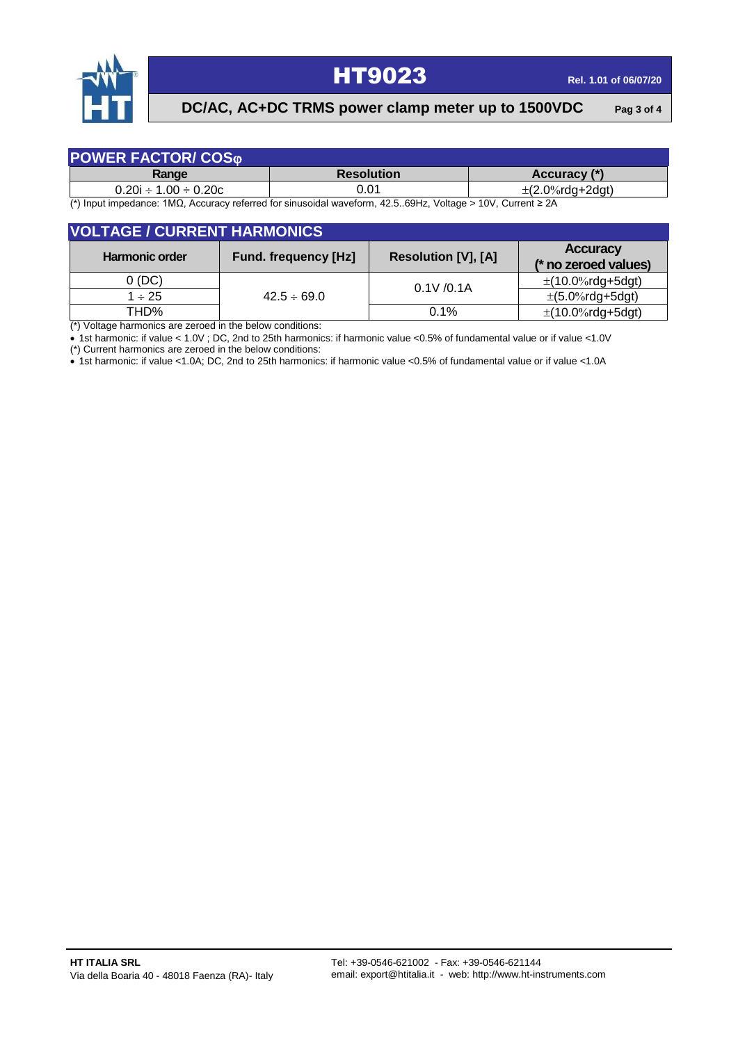

#### **DC/AC, AC+DC TRMS power clamp meter up to 1500VDC Pag 3 of 4**

| <b>POWER FACTOR/ COSO</b>    |                   |                      |
|------------------------------|-------------------|----------------------|
| Range                        | <b>Resolution</b> | Accuracy (*)         |
| $0.20i \div 1.00 \div 0.20c$ | 0.01              | $\pm$ (2.0%rda+2dat) |

(\*) Input impedance: 1MΩ, Accuracy referred for sinusoidal waveform, 42.5..69Hz, Voltage > 10V, Current ≥ 2A

| <b>VOLTAGE / CURRENT HARMONICS</b> |                             |                            |                                         |
|------------------------------------|-----------------------------|----------------------------|-----------------------------------------|
| <b>Harmonic order</b>              | <b>Fund. frequency [Hz]</b> | <b>Resolution [V], [A]</b> | <b>Accuracy</b><br>(* no zeroed values) |
| 0(DC)                              | $42.5 \div 69.0$            | 0.1V / 0.1A                | $\pm$ (10.0%rdg+5dgt)                   |
| $1 \div 25$                        |                             |                            | $\pm (5.0\% \text{rdg+5dgt})$           |
| THD%                               |                             | 0.1%                       | $\pm$ (10.0%rdg+5dgt)                   |

 $\overline{(*)}$  Voltage harmonics are zeroed in the below conditions:

 $\bullet$  1st harmonic: if value < 1.0V; DC, 2nd to 25th harmonics: if harmonic value <0.5% of fundamental value or if value <1.0V

(\*) Current harmonics are zeroed in the below conditions:

1st harmonic: if value <1.0A; DC, 2nd to 25th harmonics: if harmonic value <0.5% of fundamental value or if value <1.0A